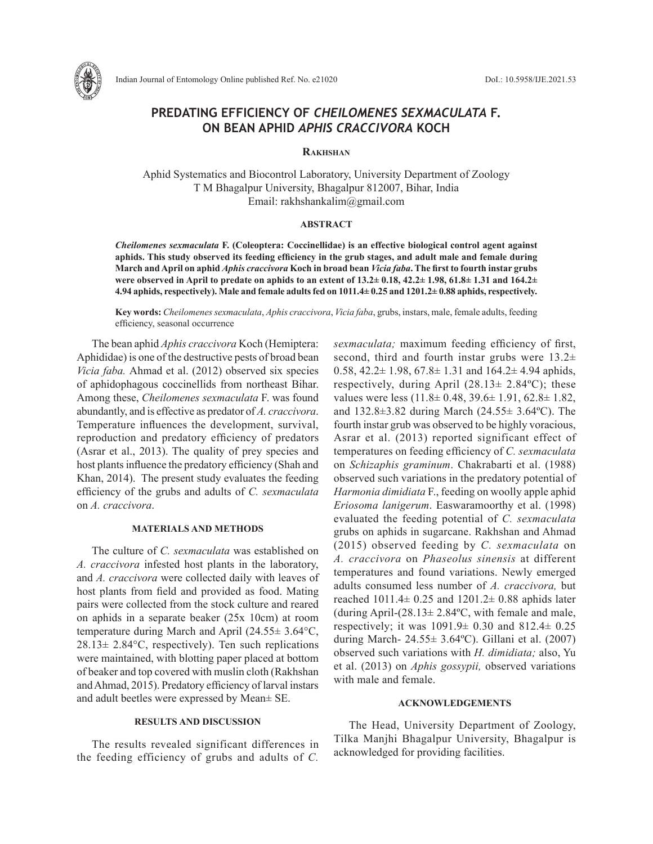

# **PREDATING EFFICIENCY OF** *CHEILOMENES SEXMACULATA* **F. ON BEAN APHID** *APHIS CRACCIVORA* **KOCH**

#### **Rakhshan**

Aphid Systematics and Biocontrol Laboratory, University Department of Zoology T M Bhagalpur University, Bhagalpur 812007, Bihar, India Email: rakhshankalim@gmail.com

#### **ABSTRACT**

*Cheilomenes sexmaculata* **F. (Coleoptera: Coccinellidae) is an effective biological control agent against aphids. This study observed its feeding efficiency in the grub stages, and adult male and female during March and April on aphid** *Aphis craccivora* **Koch in broad bean** *Vicia faba***. The first to fourth instar grubs were observed in April to predate on aphids to an extent of 13.2± 0.18, 42.2± 1.98, 61.8± 1.31 and 164.2± 4.94 aphids, respectively). Male and female adults fed on 1011.4± 0.25 and 1201.2± 0.88 aphids, respectively.** 

**Key words:** *Cheilomenes sexmaculata*, *Aphis craccivora*, *Vicia faba*, grubs, instars, male, female adults, feeding efficiency, seasonal occurrence

The bean aphid *Aphis craccivora* Koch (Hemiptera: Aphididae) is one of the destructive pests of broad bean *Vicia faba.* Ahmad et al. (2012) observed six species of aphidophagous coccinellids from northeast Bihar. Among these, *Cheilomenes sexmaculata* F. was found abundantly, and is effective as predator of *A. craccivora*. Temperature influences the development, survival, reproduction and predatory efficiency of predators (Asrar et al., 2013). The quality of prey species and host plants influence the predatory efficiency (Shah and Khan, 2014). The present study evaluates the feeding efficiency of the grubs and adults of *C. sexmaculata* on *A. craccivora*.

### **MATERIALS AND METHODS**

The culture of *C. sexmaculata* was established on *A. craccivora* infested host plants in the laboratory, and *A. craccivora* were collected daily with leaves of host plants from field and provided as food. Mating pairs were collected from the stock culture and reared on aphids in a separate beaker (25х 10cm) at room temperature during March and April (24.55± 3.64°C,  $28.13 \pm 2.84$ °C, respectively). Ten such replications were maintained, with blotting paper placed at bottom of beaker and top covered with muslin cloth (Rakhshan and Ahmad, 2015). Predatory efficiency of larval instars and adult beetles were expressed by Mean± SE.

## **RESULTS AND DISCUSSION**

The results revealed significant differences in the feeding efficiency of grubs and adults of *C.* 

*sexmaculata;* maximum feeding efficiency of first, second, third and fourth instar grubs were  $13.2\pm$ 0.58,  $42.2 \pm 1.98$ ,  $67.8 \pm 1.31$  and  $164.2 \pm 4.94$  aphids, respectively, during April  $(28.13 \pm 2.84^{\circ}\text{C})$ ; these values were less (11.8± 0.48, 39.6± 1.91, 62.8± 1.82, and 132.8±3.82 during March (24.55± 3.64ºC). The fourth instar grub was observed to be highly voracious, Asrar et al. (2013) reported significant effect of temperatures on feeding efficiency of *C. sexmaculata* on *Schizaphis graminum*. Chakrabarti et al. (1988) observed such variations in the predatory potential of *Harmonia dimidiata* F., feeding on woolly apple aphid *Eriosoma lanigerum*. Easwaramoorthy et al. (1998) evaluated the feeding potential of *C. sexmaculata* grubs on aphids in sugarcane. Rakhshan and Ahmad (2015) observed feeding by *C. sexmaculata* on *A. craccivora* on *Phaseolus sinensis* at different temperatures and found variations. Newly emerged adults consumed less number of *A. craccivora,* but reached  $1011.4 \pm 0.25$  and  $1201.2 \pm 0.88$  aphids later (during April- $(28.13 \pm 2.84$ °C, with female and male, respectively; it was  $1091.9 \pm 0.30$  and  $812.4 \pm 0.25$ during March- 24.55± 3.64ºC). Gillani et al. (2007) observed such variations with *H. dimidiata;* also, Yu et al. (2013) on *Aphis gossypii,* observed variations with male and female.

#### **ACKNOWLEDGEMENTS**

The Head, University Department of Zoology, Tilka Manjhi Bhagalpur University, Bhagalpur is acknowledged for providing facilities.